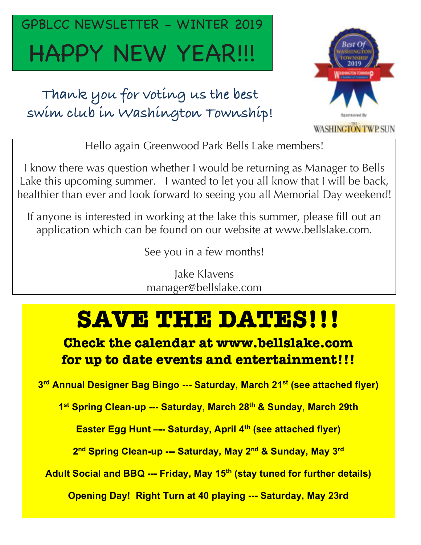## GPBLCC NEWSLETTER - WINTER 2019 HAPPY NEW YEAR!!!

**Thank you for voting us the best swim club in Washington Township!**



Hello again Greenwood Park Bells Lake members!

I know there was question whether I would be returning as Manager to Bells Lake this upcoming summer. I wanted to let you all know that I will be back, healthier than ever and look forward to seeing you all Memorial Day weekend!

If anyone is interested in working at the lake this summer, please fill out an application which can be found on our website at www.bellslake.com.

See you in a few months!

Jake Klavens manager@bellslake.com

### **SAVE THE DATES!!!**

**Check the calendar at www.bellslake.com for up to date events and entertainment!!!**

**3 rd Annual Designer Bag Bingo --- Saturday, March 21st (see attached flyer)**

**1 st Spring Clean-up --- Saturday, March 28th & Sunday, March 29th**

**Easter Egg Hunt –-- Saturday, April 4th (see attached flyer)**

**2 nd Spring Clean-up --- Saturday, May 2nd & Sunday, May 3rd**

**Adult Social and BBQ --- Friday, May 15th (stay tuned for further details)**

**Opening Day! Right Turn at 40 playing --- Saturday, May 23rd**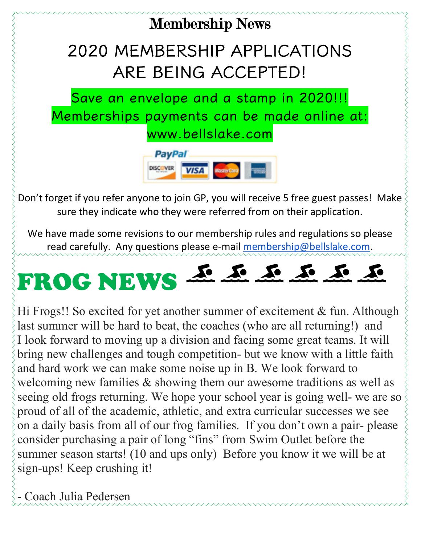#### Membership News

#### 2020 MEMBERSHIP APPLICATIONS ARE BEING ACCEPTED!

Save an envelope and a stamp in 2020!!! Memberships payments can be made online at: www.bellslake.com



Don't forget if you refer anyone to join GP, you will receive 5 free guest passes! Make sure they indicate who they were referred from on their application.

We have made some revisions to our membership rules and regulations so please read carefully. Any questions please e-mail membership@bellslake.com.



Hi Frogs!! So excited for yet another summer of excitement & fun. Although last summer will be hard to beat, the coaches (who are all returning!) and I look forward to moving up a division and facing some great teams. It will bring new challenges and tough competition- but we know with a little faith and hard work we can make some noise up in B. We look forward to welcoming new families & showing them our awesome traditions as well as seeing old frogs returning. We hope your school year is going well- we are so proud of all of the academic, athletic, and extra curricular successes we see on a daily basis from all of our frog families. If you don't own a pair- please consider purchasing a pair of long "fins" from Swim Outlet before the summer season starts! (10 and ups only) Before you know it we will be at sign-ups! Keep crushing it!

- Coach Julia Pedersen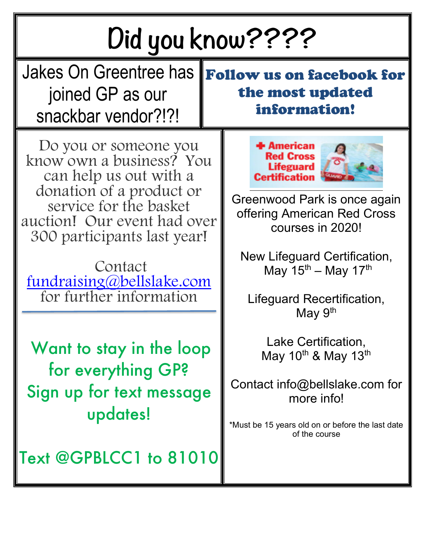| Did you know????                                                                                                                                                                                                                                                   |                                                                                                                                                                                                                                                                                                 |  |
|--------------------------------------------------------------------------------------------------------------------------------------------------------------------------------------------------------------------------------------------------------------------|-------------------------------------------------------------------------------------------------------------------------------------------------------------------------------------------------------------------------------------------------------------------------------------------------|--|
| <b>Jakes On Greentree has</b><br>joined GP as our<br>snackbar vendor?!?!                                                                                                                                                                                           | <b>Follow us on facebook for</b><br>the most updated<br>information!                                                                                                                                                                                                                            |  |
| Do you or someone you<br>know own a business? You<br>can help us out with a<br>donation of a product or<br>service for the basket<br>auction! Our event had over<br>300 participants last year!<br>Contact<br>fundraising@bellslake.com<br>for further information | <b>American</b><br><b>Red Cross</b><br><b>Lifeguard</b><br><b>Certification</b><br>Greenwood Park is once again<br>offering American Red Cross<br>courses in 2020!<br>New Lifeguard Certification,<br>May $15^{th}$ – May 17 <sup>th</sup><br>Lifeguard Recertification,<br>May 9 <sup>th</sup> |  |
| Want to stay in the loop<br>for everything GP?<br>Sign up for text message<br>updates!                                                                                                                                                                             | Lake Certification,<br>May 10 <sup>th</sup> & May 13 <sup>th</sup><br>Contact info@bellslake.com for<br>more info!<br>*Must be 15 years old on or before the last date<br>of the course                                                                                                         |  |
| Text @GPBLCC1 to 81010                                                                                                                                                                                                                                             |                                                                                                                                                                                                                                                                                                 |  |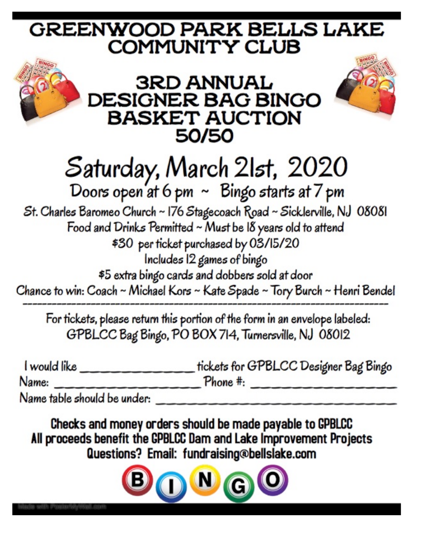#### **GREENWOOD PARK BELLS LAKE COMMUNITY CLUB**



## Saturday, March 21st, 2020<br>Doors open at 6 pm ~ Bingo starts at 7 pm

St. Charles Baromeo Church ~ 176 Stagecoach Road ~ Sicklerville, NJ 08081 Food and Drinks Permitted ~ Must be I8 years old to attend \$30 per ticket purchased by 03/15/20 Includes 12 games of bingo

\$5 extra bingo cards and dobbers sold at door

Chance to win: Coach ~ Michael Kors ~ Kate Spade ~ Tory Burch ~ Henri Bendel

For tickets, please return this portion of the form in an envelope labeled: GPBLCC Bag Bingo, PO BOX 714, Turnersville, NJ 08012

| I would like                | tickets for GPBLCC Designer Bag Bingo |
|-----------------------------|---------------------------------------|
| Name:                       | Phone #:                              |
| Name table should be under. |                                       |

Checks and money orders should be made payable to GPBLCC All proceeds benefit the GPBLCC Dam and Lake Improvement Projects Questions? Email: fundraising@bellslake.com